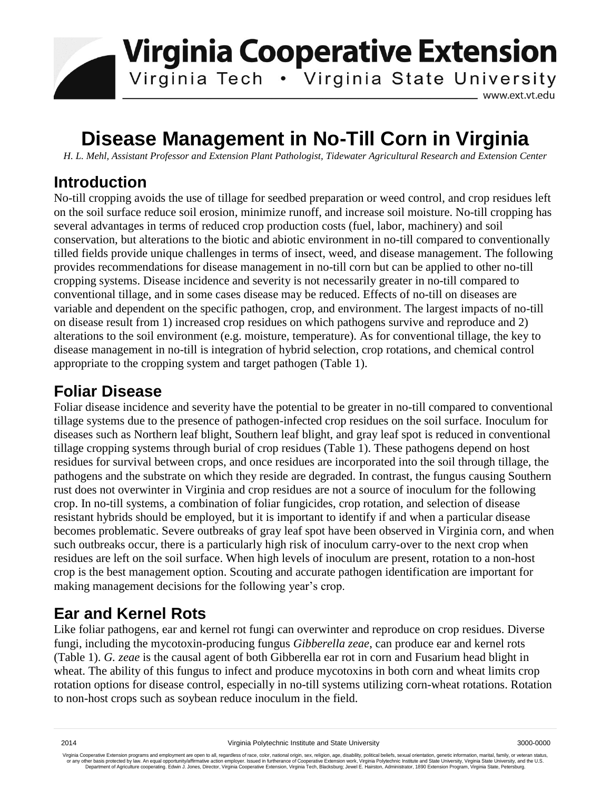

# **Disease Management in No-Till Corn in Virginia**

*H. L. Mehl, Assistant Professor and Extension Plant Pathologist, Tidewater Agricultural Research and Extension Center*

#### **Introduction**

No-till cropping avoids the use of tillage for seedbed preparation or weed control, and crop residues left on the soil surface reduce soil erosion, minimize runoff, and increase soil moisture. No-till cropping has several advantages in terms of reduced crop production costs (fuel, labor, machinery) and soil conservation, but alterations to the biotic and abiotic environment in no-till compared to conventionally tilled fields provide unique challenges in terms of insect, weed, and disease management. The following provides recommendations for disease management in no-till corn but can be applied to other no-till cropping systems. Disease incidence and severity is not necessarily greater in no-till compared to conventional tillage, and in some cases disease may be reduced. Effects of no-till on diseases are variable and dependent on the specific pathogen, crop, and environment. The largest impacts of no-till on disease result from 1) increased crop residues on which pathogens survive and reproduce and 2) alterations to the soil environment (e.g. moisture, temperature). As for conventional tillage, the key to disease management in no-till is integration of hybrid selection, crop rotations, and chemical control appropriate to the cropping system and target pathogen (Table 1).

### **Foliar Disease**

Foliar disease incidence and severity have the potential to be greater in no-till compared to conventional tillage systems due to the presence of pathogen-infected crop residues on the soil surface. Inoculum for diseases such as Northern leaf blight, Southern leaf blight, and gray leaf spot is reduced in conventional tillage cropping systems through burial of crop residues (Table 1). These pathogens depend on host residues for survival between crops, and once residues are incorporated into the soil through tillage, the pathogens and the substrate on which they reside are degraded. In contrast, the fungus causing Southern rust does not overwinter in Virginia and crop residues are not a source of inoculum for the following crop. In no-till systems, a combination of foliar fungicides, crop rotation, and selection of disease resistant hybrids should be employed, but it is important to identify if and when a particular disease becomes problematic. Severe outbreaks of gray leaf spot have been observed in Virginia corn, and when such outbreaks occur, there is a particularly high risk of inoculum carry-over to the next crop when residues are left on the soil surface. When high levels of inoculum are present, rotation to a non-host crop is the best management option. Scouting and accurate pathogen identification are important for making management decisions for the following year's crop.

#### **Ear and Kernel Rots**

Like foliar pathogens, ear and kernel rot fungi can overwinter and reproduce on crop residues. Diverse fungi, including the mycotoxin-producing fungus *Gibberella zeae*, can produce ear and kernel rots (Table 1). *G. zeae* is the causal agent of both Gibberella ear rot in corn and Fusarium head blight in wheat. The ability of this fungus to infect and produce mycotoxins in both corn and wheat limits crop rotation options for disease control, especially in no-till systems utilizing corn-wheat rotations. Rotation to non-host crops such as soybean reduce inoculum in the field.

Virginia Cooperative Extension programs and employment are open to all, regardless of race, color, national origin, sex, religion, age, disability, political beliefs, sexual orientation, genetic information, marital, fami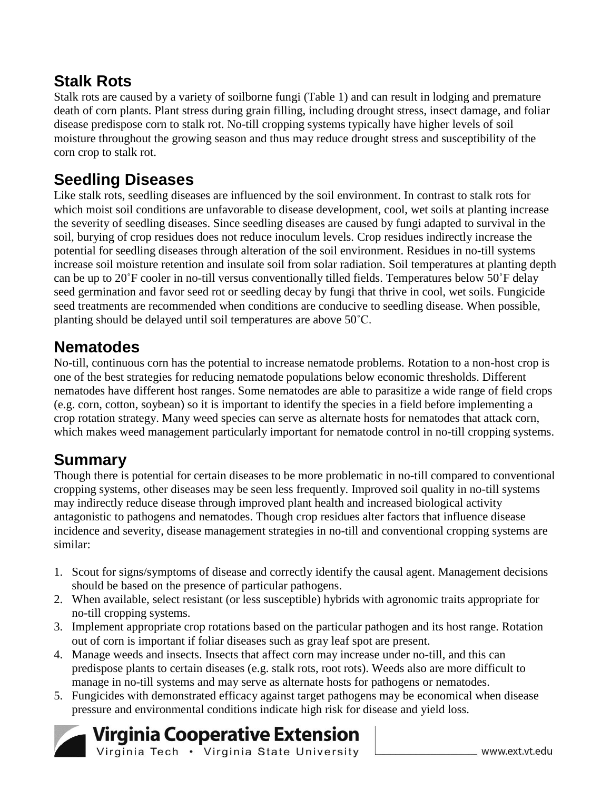## **Stalk Rots**

Stalk rots are caused by a variety of soilborne fungi (Table 1) and can result in lodging and premature death of corn plants. Plant stress during grain filling, including drought stress, insect damage, and foliar disease predispose corn to stalk rot. No-till cropping systems typically have higher levels of soil moisture throughout the growing season and thus may reduce drought stress and susceptibility of the corn crop to stalk rot.

## **Seedling Diseases**

Like stalk rots, seedling diseases are influenced by the soil environment. In contrast to stalk rots for which moist soil conditions are unfavorable to disease development, cool, wet soils at planting increase the severity of seedling diseases. Since seedling diseases are caused by fungi adapted to survival in the soil, burying of crop residues does not reduce inoculum levels. Crop residues indirectly increase the potential for seedling diseases through alteration of the soil environment. Residues in no-till systems increase soil moisture retention and insulate soil from solar radiation. Soil temperatures at planting depth can be up to 20˚F cooler in no-till versus conventionally tilled fields. Temperatures below 50˚F delay seed germination and favor seed rot or seedling decay by fungi that thrive in cool, wet soils. Fungicide seed treatments are recommended when conditions are conducive to seedling disease. When possible, planting should be delayed until soil temperatures are above 50˚C.

## **Nematodes**

No-till, continuous corn has the potential to increase nematode problems. Rotation to a non-host crop is one of the best strategies for reducing nematode populations below economic thresholds. Different nematodes have different host ranges. Some nematodes are able to parasitize a wide range of field crops (e.g. corn, cotton, soybean) so it is important to identify the species in a field before implementing a crop rotation strategy. Many weed species can serve as alternate hosts for nematodes that attack corn, which makes weed management particularly important for nematode control in no-till cropping systems.

## **Summary**

Though there is potential for certain diseases to be more problematic in no-till compared to conventional cropping systems, other diseases may be seen less frequently. Improved soil quality in no-till systems may indirectly reduce disease through improved plant health and increased biological activity antagonistic to pathogens and nematodes. Though crop residues alter factors that influence disease incidence and severity, disease management strategies in no-till and conventional cropping systems are similar:

- 1. Scout for signs/symptoms of disease and correctly identify the causal agent. Management decisions should be based on the presence of particular pathogens.
- 2. When available, select resistant (or less susceptible) hybrids with agronomic traits appropriate for no-till cropping systems.
- 3. Implement appropriate crop rotations based on the particular pathogen and its host range. Rotation out of corn is important if foliar diseases such as gray leaf spot are present.
- 4. Manage weeds and insects. Insects that affect corn may increase under no-till, and this can predispose plants to certain diseases (e.g. stalk rots, root rots). Weeds also are more difficult to manage in no-till systems and may serve as alternate hosts for pathogens or nematodes.
- 5. Fungicides with demonstrated efficacy against target pathogens may be economical when disease pressure and environmental conditions indicate high risk for disease and yield loss.

**Virginia Cooperative Extension** Virginia Tech . Virginia State University